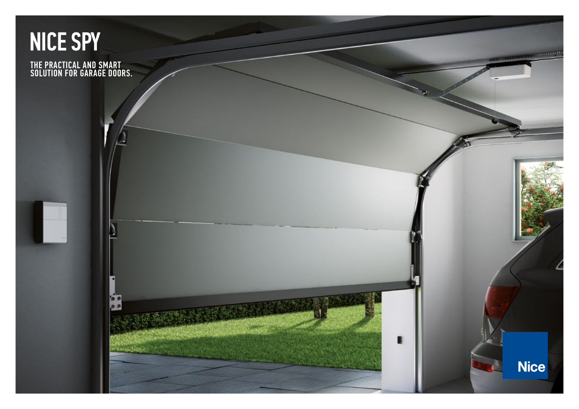# [NICE SPY](https://nice.ro/usi-garaj.html)

THE PRACTICAL AND SMART SOLUTION FOR GARAGE DOORS. **Nice**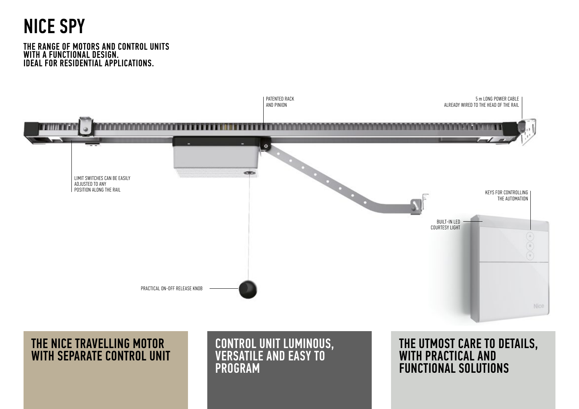## NICE SPY

### THE RANGE OF MOTORS AND CONTROL UNITS WITH A FUNCTIONAL DESIGN. IDEAL FOR RESIDENTIAL APPLICATIONS.



## THE NICE TRAVELLING MOTOR WITH SEPARATE CONTROL UNIT

## CONTROL UNIT LUMINOUS, VERSATILE AND EASY TO PROGRAM

THE UTMOST CARE TO DETAILS, WITH PRACTICAL AND FUNCTIONAL SOLUTIONS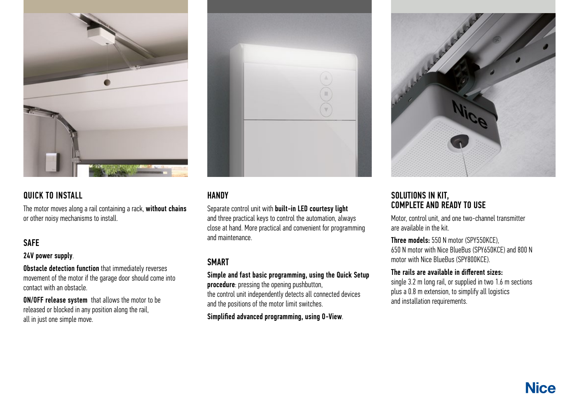

## QUICK TO INSTALL

The motor moves along a rail containing a rack, without chains or other noisy mechanisms to install.

## **SAFE**

24V power supply.

**Obstacle detection function** that immediately reverses movement of the motor if the garage door should come into contact with an obstacle.

ON/OFF release system that allows the motor to be released or blocked in any position along the rail, all in just one simple move.



## **HANDY**

Separate control unit with built-in LED courtesy light and three practical keys to control the automation, always close at hand. More practical and convenient for programming and maintenance.

## SMART

Simple and fast basic programming, using the Quick Setup

procedure: pressing the opening pushbutton, the control unit independently detects all connected devices and the positions of the motor limit switches.

Simplified advanced programming, using O-View.



### SOLUTIONS IN KIT, COMPLETE AND READY TO USE

Motor, control unit, and one two-channel transmitter are available in the kit.

Three models: 550 N motor (SPY550KCE), 650 N motor with Nice BlueBus (SPY650KCE) and 800 N motor with Nice BlueBus (SPY800KCE).

### The rails are available in different sizes:

single 3.2 m long rail, or supplied in two 1.6 m sections plus a 0.8 m extension, to simplify all logistics and installation requirements.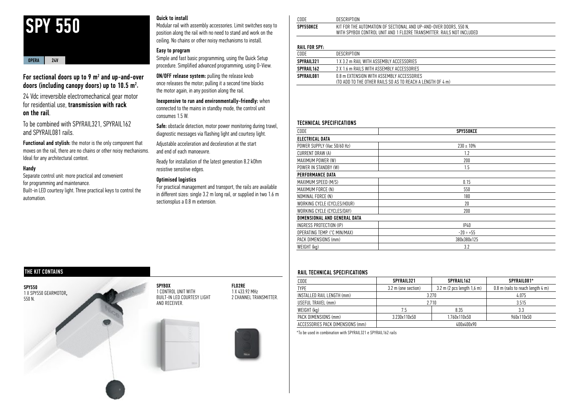## SPY 550

#### OPERA 24V

#### For sectional doors up to 9  $\mathsf{m}^{\scriptscriptstyle{2}}$  and up-and-over doors (including canopy doors) up to 10.5  $m^2$ .

24 Vdc irreversible electromechanical gear motor for residential use, transmission with rack on the rail.

To be combined with SPYRAIL321, SPYRAIL162 and SPYRAIL081 rails.

Functional and stylish: the motor is the only component that moves on the rail, there are no chains or other noisy mechanisms. Ideal for any architectural context.

#### Handy

Separate control unit: more practical and convenient for programming and maintenance. Built-in LED courtesy light. Three practical keys to control the automation.

#### Quick to install

Modular rail with assembly accessories. Limit switches easy to position along the rail with no need to stand and work on the ceiling. No chains or other noisy mechanisms to install.

#### Easy to program

Simple and fast basic programming, using the Quick Setup procedure. Simplified advanced programming, using O-View.

ON/OFF release system: pulling the release knob once releases the motor; pulling it a second time blocks the motor again, in any position along the rail.

Inexpensive to run and environmentally-friendly: when connected to the mains in standby mode, the control unit consumes 1.5 W.

Safe: obstacle detection, motor power monitoring during travel, diagnostic messages via flashing light and courtesy light.

Adjustable acceleration and deceleration at the start and end of each manoeuvre.

Ready for installation of the latest generation 8.2 kOhm resistive sensitive edges.

#### Optimised logistics

For practical management and transport, the rails are available in different sizes: single 3.2 m long rail, or supplied in two 1.6 m sectionsplus a 0.8 m extension.

| CODE      | DESCRIPTION                                                                                                                                                               |
|-----------|---------------------------------------------------------------------------------------------------------------------------------------------------------------------------|
| SPY550KCE | E AUTOMATION OF SECTIONAL AND UP-AND-OVER DOORS, 550 N,<br>KIT<br>FOR<br>THE<br>WITH SPYBOX<br>' AND 1 FLO2RE TRANSMITTER.<br>' INCLUDED<br>CONTROL UNIT<br>`NOT<br>RAILS |
|           |                                                                                                                                                                           |

#### **DAIL FOR SPY.**

| CODE       | DESCRIPTION                                                                                             |  |
|------------|---------------------------------------------------------------------------------------------------------|--|
| SPYRAIL321 | 1 X 3 2 m RAIL WITH ASSEMBLY ACCESSORIES                                                                |  |
| SPYRAIL162 | 2 X 1 6 m RAILS WITH ASSEMBLY ACCESSORIES                                                               |  |
| SPYRAIL081 | 0.8 m EXTENSION WITH ASSEMBLY ACCESSORIES<br>(TO ADD TO THE OTHER RAILS SO AS TO REACH A LENGTH OF 4 m) |  |
|            |                                                                                                         |  |

#### TECHNICAL SPECIFICATIONS

| CODE                         | SPY550KCE      |  |
|------------------------------|----------------|--|
| <b>ELECTRICAL DATA</b>       |                |  |
| POWER SUPPLY (Vac 50/60 Hz)  | $230 \pm 10\%$ |  |
| CURRENT DRAW (A)             | 1.2            |  |
| MAXIMUM POWER (W)            | 200            |  |
| POWER IN STANDBY (W)         | 1.5            |  |
| PERFORMANCE DATA             |                |  |
| MAXIMUM SPEED (M/S)          | 0.15           |  |
| MAXIMUM FORCE (N)            | 550            |  |
| NOMINAL FORCE (N)            | 180            |  |
| WORKING CYCLE (CYCLES/HOUR)  | 20             |  |
| WORKING CYCLE (CYCLES/DAY)   | 200            |  |
| DIMENSIONAL AND GENERAL DATA |                |  |
| INGRESS PROTECTION (IP)      | IP40           |  |
| OPERATING TEMP. (°C MIN/MAX) | $-20 \div +55$ |  |
| PACK DIMENSIONS (mm)         | 380x380x125    |  |
| WEIGHT (kg)                  | 3.2            |  |

#### RAIL TECHNICAL SPECIFICATIONS

| CODE                             | SPYRAIL321          | SPYRAIL162                          | SPYRAIL081* |  |  |  |
|----------------------------------|---------------------|-------------------------------------|-------------|--|--|--|
| <b>TYPE</b>                      | 3.2 m (one section) | $0.8$ m (rails to reach length 4 m) |             |  |  |  |
| INSTALLED RAIL LENGTH (mm)       | 3.270               | 4.075                               |             |  |  |  |
| USEFUL TRAVEL (mm)               | 2.710               | 3.515                               |             |  |  |  |
| WEIGHT (kg)                      | 7.5                 | 8.35                                | 3.3         |  |  |  |
| PACK DIMENSIONS (mm)             | 3.230x110x50        | 1.760x110x50                        | 960x110x50  |  |  |  |
| ACCESSORIES PACK DIMENSIONS (mm) | 400x400x90          |                                     |             |  |  |  |

\*To be used in combination with SPYRAIL321 e SPYRAIL162 rails

#### THE KIT CONTAINS

SPY550 1 X SPY550 GEARMOTOR, 550 N.

**SPYBOX** 1 CONTROL UNIT WITH BUILT-IN LED COURTESY LIGHT AND RECEIVER.



FLO2RE 1 X 433.92 MHz 2 CHANNEL TRANSMITTER.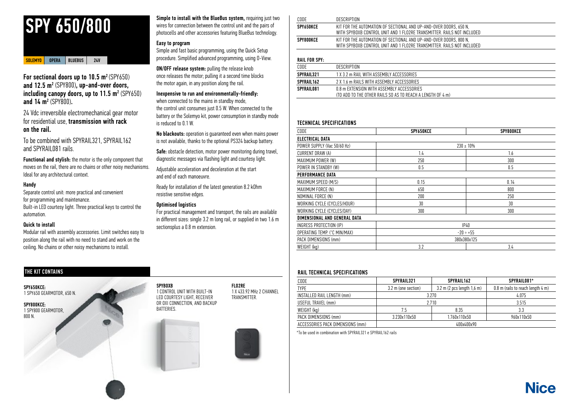

#### SOLEMYO OPERA BLUEBUS 24V

For sectional doors up to 10.5 m<sup>2</sup> (SPY650) and 12.5 m2 (SPY800), up-and-over doors, including canopy doors, up to 11.5 m² (SPY650) and 14 m<sup>2</sup> (SPY800).

24 Vdc irreversible electromechanical gear motor for residential use, transmission with rack on the rail.

To be combined with SPYRAIL321, SPYRAIL162 and SPYRAIL081 rails.

Functional and stylish: the motor is the only component that moves on the rail, there are no chains or other noisy mechanisms. Ideal for any architectural context.

#### Handy

Separate control unit: more practical and convenient for programming and maintenance. Built-in LED courtesy light. Three practical keys to control the automation.

#### Quick to install

Modular rail with assembly accessories. Limit switches easy to position along the rail with no need to stand and work on the ceiling. No chains or other noisy mechanisms to install.

#### Simple to install with the BlueBus system, requiring just two wires for connection between the control unit and the pairs of photocells and other accessories featuring BlueBus technology.

#### Easy to program

Simple and fast basic programming, using the Quick Setup procedure. Simplified advanced programming, using O-View.

ON/OFF release system: pulling the release knob once releases the motor; pulling it a second time blocks the motor again, in any position along the rail.

Inexpensive to run and environmentally-friendly: when connected to the mains in standby mode, the control unit consumes just 0.5 W. When connected to the battery or the Solemyo kit, power consumption in standby mode is reduced to 0.1 W.

No blackouts: operation is guaranteed even when mains power is not available, thanks to the optional PS324 backup battery.

Safe: obstacle detection, motor power monitoring during travel, diagnostic messages via flashing light and courtesy light.

Adjustable acceleration and deceleration at the start and end of each manoeuvre.

Ready for installation of the latest generation 8.2 kOhm resistive sensitive edges.

#### Optimised logistics

For practical management and transport, the rails are available in different sizes: single 3.2 m long rail, or supplied in two 1.6 m sectionsplus a 0.8 m extension.

| CODE      | DESCRIPTION                                                                                                                                 |
|-----------|---------------------------------------------------------------------------------------------------------------------------------------------|
| SPY650KCE | KIT FOR THE AUTOMATION OF SECTIONAL AND UP-AND-OVER DOORS, 650 N.<br>WITH SPYBOXB CONTROL UNIT AND 1 FLO2RE TRANSMITTER. RAILS NOT INCLUDED |
| SPY800KCE | KIT FOR THE AUTOMATION OF SECTIONAL AND UP-AND-OVER DOORS, 800 N.<br>WITH SPYBOXB CONTROL UNIT AND 1 FLO2RE TRANSMITTER. RAILS NOT INCLUDED |
|           |                                                                                                                                             |

#### RAIL FOR SPY:

| CODE        | DESCRIPTION                                                                                             |
|-------------|---------------------------------------------------------------------------------------------------------|
| SPYRAIL321  | 1 X 3 2 m RAIL WITH ASSEMBLY ACCESSORIES                                                                |
| SPYRAIL 162 | 2 X 1 6 m RAILS WITH ASSEMBLY ACCESSORIES                                                               |
| SPYRAIL081  | 0.8 m EXTENSION WITH ASSEMBLY ACCESSORIES<br>(TO ADD TO THE OTHER RAILS SO AS TO REACH A LENGTH OF 4 m) |
|             |                                                                                                         |

#### TECHNICAL SPECIFICATIONS

| CODE                         | SPY650KCE | SPY800KCE      |
|------------------------------|-----------|----------------|
| ELECTRICAL DATA              |           |                |
| POWER SUPPLY (Vac 50/60 Hz)  |           | $230 \pm 10\%$ |
| CURRENT DRAW (A)             | 1.4       | 1.6            |
| MAXIMUM POWER (W)            | 250       | 300            |
| POWER IN STANDBY (W)         | 0.5       | 0.5            |
| <b>PERFORMANCE DATA</b>      |           |                |
| MAXIMUM SPEED (M/S)          | 0.15      | 0.14           |
| MAXIMUM FORCE (N)            | 650       | 800            |
| NOMINAL FORCE (N)            | 200       | 250            |
| WORKING CYCLE (CYCLES/HOUR)  | 30        | 30             |
| WORKING CYCLE (CYCLES/DAY)   | 300       | 300            |
| DIMENSIONAL AND GENERAL DATA |           |                |
| INGRESS PROTECTION (IP)      |           | IP40           |
| OPERATING TEMP. (°C MIN/MAX) |           | $-20 \div +55$ |
| PACK DIMENSIONS (mm)         |           | 380x380x125    |
| WEIGHT (kg)                  | 3.2       | 3.4            |
|                              |           |                |

#### THE KIT CONTAINS **THE KIT CONTAINS**

| CODE                             | SPYRAIL321          | SPYRAIL162                        | SPYRAIL081* |  |  |  |
|----------------------------------|---------------------|-----------------------------------|-------------|--|--|--|
| <b>TYPE</b>                      | 3.2 m (one section) | 0.8 m (rails to reach length 4 m) |             |  |  |  |
| INSTALLED RAIL LENGTH (mm)       | 3.270               | 4.075                             |             |  |  |  |
| USEFUL TRAVEL (mm)               | 2.710               | 3.515                             |             |  |  |  |
| WEIGHT (kg)                      | 7.5                 | 8.35                              | 3.3         |  |  |  |
| PACK DIMENSIONS (mm)             | 3.230x110x50        | 1.760x110x50                      | 960x110x50  |  |  |  |
| ACCESSORIES PACK DIMENSIONS (mm) |                     |                                   |             |  |  |  |

\*To be used in combination with SPYRAIL321 e SPYRAIL162 rails

SPY650KCE: 1 SPY650 GEARMOTOR, 650 N.

SPY800KCE: 1 SPY800 GEARMOTOR, 800 N.

SPYBOXB 1 CONTROL UNIT WITH BUILT-IN LED COURTESY LIGHT, RECEIVER OR OXI CONNECTION, AND BACKUP BATTERIES.





1 X 433.92 MHz 2 CHANNEL **TRANSMITTER** 

FLO2RE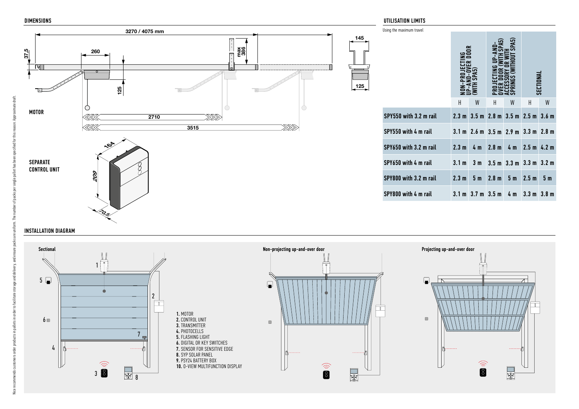DIMENSIONS



| Using the maximum travel                               |   |   |                                                                   |   |           |                |  |  |
|--------------------------------------------------------|---|---|-------------------------------------------------------------------|---|-----------|----------------|--|--|
|                                                        |   |   |                                                                   |   | SECTIONAI |                |  |  |
|                                                        | Н | W | Н                                                                 | W | Н         | W              |  |  |
| SPY550 with 3.2 m rail                                 |   |   | $2.3 \text{ m}$ 3.5 m $2.8 \text{ m}$ 3.5 m $2.5 \text{ m}$ 3.6 m |   |           |                |  |  |
| SPY550 with 4 m rail                                   |   |   | $3.1 \text{ m}$ 2.6 m $3.5 \text{ m}$ 2.9 m $3.3 \text{ m}$ 2.8 m |   |           |                |  |  |
| SPY650 with 3.2 m rail                                 |   |   | 2.3 m 4 m 2.8 m 4 m 2.5 m 4.2 m                                   |   |           |                |  |  |
| SPY650 with 4 m rail                                   |   |   | $3.1 m$ 3 m $3.5 m$ 3.3 m $3.3 m$ 3.2 m                           |   |           |                |  |  |
| SPY800 with 3.2 m rail                                 |   |   | $2.3 m$ 5 m $2.8 m$ 5 m $2.5 m$                                   |   |           | 5 <sub>m</sub> |  |  |
| SPY800 with 4 m rail 3.1 m 3.7 m 3.5 m 4 m 3.3 m 3.8 m |   |   |                                                                   |   |           |                |  |  |

#### INSTALLATION DIAGRAM

্ত



#### UTILISATION LIMITS

 $125$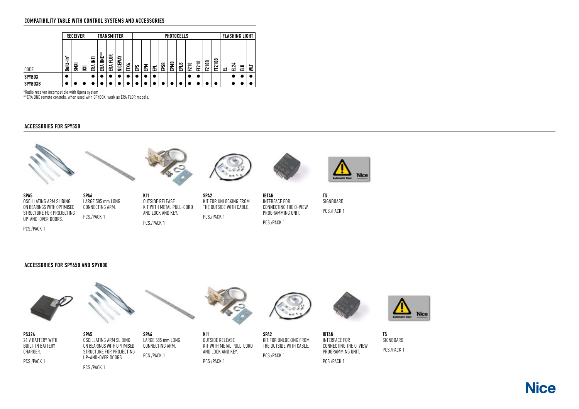#### COMPATIBILITY TABLE WITH CONTROL SYSTEMS AND ACCESSORIES

|                | <b>RECEIVER</b>   |             |   |        |                              | <b>TRANSMITTER</b> |         |   | <b>PHOTOCELLS</b> |   |   |    |        |             |                                            | <b>FLASHING LIGHT</b>              |              |                                    |   |        |   |   |
|----------------|-------------------|-------------|---|--------|------------------------------|--------------------|---------|---|-------------------|---|---|----|--------|-------------|--------------------------------------------|------------------------------------|--------------|------------------------------------|---|--------|---|---|
| CODE           | $\ast$<br>.≘<br>İ | <b>SMXI</b> | ឨ | 툴<br>훉 | $\star$<br>$\star$<br>뽛<br>돉 | ≃<br>문<br>줂        | NICEWAY | Ĕ | 。<br>留            | 로 | 롭 | Se | œ<br>횝 | $\sim$<br>롧 | 0<br>$\overline{\phantom{0}}$<br><u>ជា</u> | 0<br>$\overline{\phantom{0}}$<br>E | <b>F210B</b> | $\bullet$<br>0<br>-<br>$\sim$<br>ᆮ | ᆷ | ಸ<br>ᆸ | 岊 | ¥ |
| <b>SPYBOX</b>  |                   |             |   |        |                              |                    |         |   |                   |   |   |    |        |             |                                            |                                    |              |                                    |   |        |   |   |
| <b>SPYBOXB</b> |                   |             |   |        |                              |                    |         |   |                   |   |   |    |        |             |                                            |                                    |              |                                    |   |        |   |   |

\*Radio receiver incompatible with Opera system

\*\*ERA ONE remote controls, when used with SPYBOX, work as ERA FLOR models.

#### ACCESSORIES FOR SPY550



SPA5

PCS./PACK 1





OSCILLATING ARM SLIDING ON BEARINGS WITH OPTIMISED STRUCTURE FOR PROJECTING UP-AND-OVER DOORS. SPA6 LARGE 585 mm LONG CONNECTING ARM. PCS./PACK 1

KI1 OUTSIDE RELEASE KIT WITH METAL PULL-CORD AND LOCK AND KEY. PCS./PACK 1

SPA2 KIT FOR UNLOCKING FROM THE OUTSIDE WITH CABLE. PCS./PACK 1

IBT4N INTERFACE FOR CONNECTING THE O-VIEW PROGRAMMING UNIT. PCS./PACK 1

TS SIGNBOARD. PCS./PACK 1

#### ACCESSORIES FOR SPY650 AND SPY800



**Nice**